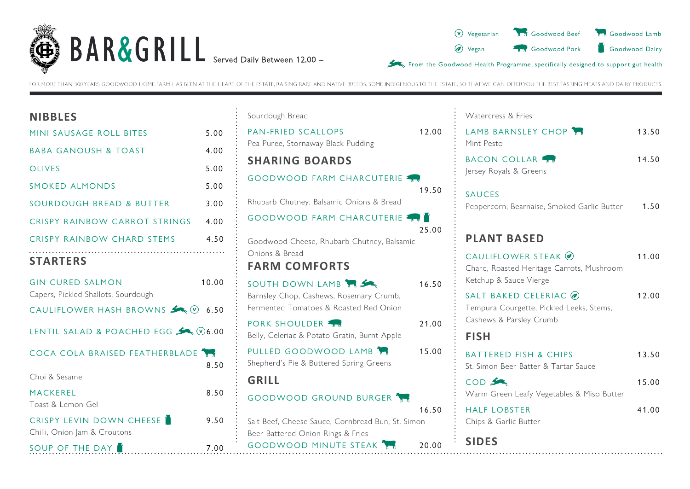



FOR MORE THAN 300 YEARS GOODWOOD HOME FARM HAS BEEN AT THE HEART OF THE ESTATE. RAISING RARE AND NATIVE BREEDS, SOME INDIGENOUS TO THE ESTATE, SO THAT WE CAN OFFER YOU THE BEST TASTING MEATS AND DAIRY PRODUCTS.

| <b>NIBBLES</b>                            |       |
|-------------------------------------------|-------|
| MINI SAUSAGE ROLL BITES                   | 5.00  |
| <b>BABA GANOUSH &amp; TOAST</b>           | 4.00  |
| <b>OLIVES</b>                             | 5.00  |
| <b>SMOKED ALMONDS</b>                     | 5.00  |
| SOURDOUGH BREAD & BUTTER                  | 3.00  |
| CRISPY RAINBOW CARROT STRINGS 4.00        |       |
| CRISPY RAINBOW CHARD STEMS                | 4.50  |
| <b>STARTERS</b>                           |       |
| <b>GIN CURED SALMON</b>                   | 10.00 |
| Capers, Pickled Shallots, Sourdough       |       |
| CAULIFLOWER HASH BROWNS $\searrow$ 0 6.50 |       |
| LENTIL SALAD & POACHED EGG < 06.00        |       |
| COCA COLA BRAISED FEATHERBLADE            | 8.50  |
| Choi & Sesame                             |       |
| <b>MACKEREL</b>                           | 8.50  |
| Toast & Lemon Gel                         |       |
| <b>CRISPY LEVIN DOWN CHEESE</b>           | 9.50  |
| Chilli, Onion Jam & Croutons              |       |
| SOUP OF THE DAY                           | 7.00  |

| Sourdough Bread                                                                                      |       |
|------------------------------------------------------------------------------------------------------|-------|
| <b>PAN-FRIED SCALLOPS</b><br>Pea Puree, Stornaway Black Pudding                                      | 12.00 |
| <b>SHARING BOARDS</b>                                                                                |       |
| <b>GOODWOOD FARM CHARCUTERIE</b>                                                                     | 19.50 |
| Rhubarb Chutney, Balsamic Onions & Bread                                                             |       |
| <b>GOODWOOD FARM CHARCUTERIE 477</b>                                                                 | 25.00 |
| Goodwood Cheese, Rhubarb Chutney, Balsamic<br>Onions & Bread                                         |       |
| <b>FARM COMFORTS</b>                                                                                 |       |
| SOUTH DOWN LAMB<br>Barnsley Chop, Cashews, Rosemary Crumb,<br>Fermented Tomatoes & Roasted Red Onion | 16.50 |
| <b>PORK SHOULDER</b><br>Belly, Celeriac & Potato Gratin, Burnt Apple                                 | 21.00 |
| PULLED GOODWOOD LAMB<br>Shepherd's Pie & Buttered Spring Greens                                      | 15.00 |
| <b>GRILL</b>                                                                                         |       |
| GOODWOOD GROUND BURGER                                                                               | 16.50 |
| Salt Beef, Cheese Sauce, Cornbread Bun, St. Simon<br>Beer Battered Onion Rings & Fries               |       |
| <b>GOODWOOD MINUTE STEAK THE</b>                                                                     | 20.00 |

| Watercress & Fries |  |  |
|--------------------|--|--|
|--------------------|--|--|

 $\frac{1}{2}$ 

| LAMB BARNSLEY CHOP<br>Mint Pesto                                                             | 13.50 |
|----------------------------------------------------------------------------------------------|-------|
| BACON COLLAR<br>Jersey Royals & Greens                                                       | 14.50 |
| <b>SAUCES</b><br>Peppercorn, Bearnaise, Smoked Garlic Butter                                 | 1.50  |
| <b>PLANT BASED</b>                                                                           |       |
| CAULIFLOWER STEAK @<br>Chard, Roasted Heritage Carrots, Mushroom<br>Ketchup & Sauce Vierge   | 11.00 |
| SALT BAKED CELERIAC @<br>Tempura Courgette, Pickled Leeks, Stems,<br>Cashews & Parsley Crumb | 12.00 |
| <b>FISH</b>                                                                                  |       |
| <b>BATTERED FISH &amp; CHIPS</b><br>St. Simon Beer Batter & Tartar Sauce                     | 13.50 |
| COD S<br>Warm Green Leafy Vegetables & Miso Butter                                           | 15.00 |
| <b>HALF LOBSTER</b><br>Chips & Garlic Butter                                                 | 41.00 |
| <b>SIDES</b>                                                                                 |       |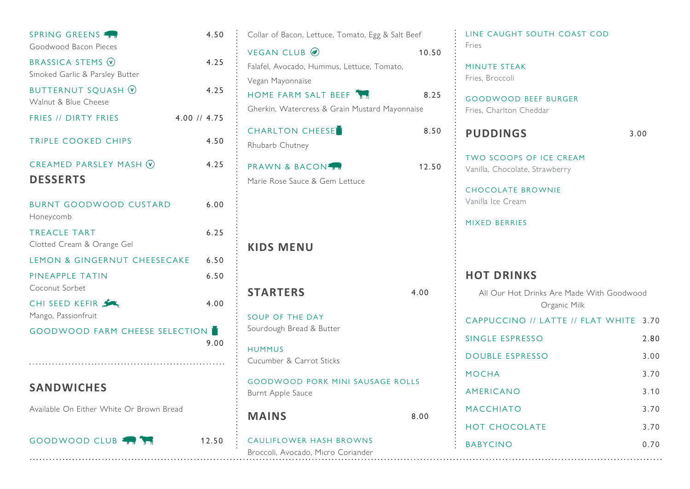| SPRING GREENS                                     | 4.50             | Collar of Bacon, Lettuce, Tomato, Egg & Salt Beef |       | LINE CAUGHT SOUTH COAST COD                   |      |
|---------------------------------------------------|------------------|---------------------------------------------------|-------|-----------------------------------------------|------|
| Goodwood Bacon Pieces                             |                  | <b>VEGAN CLUB</b> ⊘                               | 10.50 | Fries                                         |      |
| BRASSICA STEMS V                                  | 4.25             | Falafel, Avocado, Hummus, Lettuce, Tomato,        |       | MINUTE STEAK                                  |      |
| Smoked Garlic & Parsley Butter                    |                  | Vegan Mayonnaise                                  |       | Fries, Broccoli                               |      |
| <b>BUTTERNUT SQUASH V</b><br>Walnut & Blue Cheese | 4.25             | HOME FARM SALT BEEF                               | 8.25  | <b>GOODWOOD BEEF BURGER</b>                   |      |
|                                                   |                  | Gherkin, Watercress & Grain Mustard Mayonnaise    |       | Fries, Charlton Cheddar                       |      |
| FRIES // DIRTY FRIES                              | $4.00$ // $4.75$ | CHARLTON CHEESE                                   | 8.50  |                                               |      |
| TRIPLE COOKED CHIPS                               | 4.50             | Rhubarb Chutney                                   |       | <b>PUDDINGS</b>                               | 3.00 |
|                                                   |                  |                                                   |       | TWO SCOOPS OF ICE CREAM                       |      |
| CREAMED PARSLEY MASH $\odot$                      | 4.25             | <b>PRAWN &amp; BACON</b>                          | 12.50 | Vanilla, Chocolate, Strawberry                |      |
| <b>DESSERTS</b>                                   |                  | Marie Rose Sauce & Gem Lettuce                    |       |                                               |      |
|                                                   |                  |                                                   |       | <b>CHOCOLATE BROWNIE</b><br>Vanilla Ice Cream |      |
| <b>BURNT GOODWOOD CUSTARD</b><br>Honeycomb        | 6.00             |                                                   |       |                                               |      |
| <b>TREACLE TART</b>                               | 6.25             |                                                   |       | MIXED BERRIES                                 |      |
| Clotted Cream & Orange Gel                        |                  | <b>KIDS MENU</b>                                  |       |                                               |      |
| LEMON & GINGERNUT CHEESECAKE                      | 6.50             |                                                   |       |                                               |      |
| PINEAPPLE TATIN                                   | 6.50             |                                                   |       | <b>HOT DRINKS</b>                             |      |
| Coconut Sorbet                                    |                  | <b>STARTERS</b>                                   | 4.00  | All Our Hot Drinks Are Made With Goodwood     |      |
| CHI SEED KEFIR                                    | 4.00             |                                                   |       | Organic Milk                                  |      |
| Mango, Passionfruit                               |                  | SOUP OF THE DAY                                   |       | CAPPUCCINO // LATTE // FLAT WHITE 3.70        |      |
| <b>GOODWOOD FARM CHEESE SELECTION</b>             |                  | Sourdough Bread & Butter                          |       | SINGLE ESPRESSO                               | 2.80 |
|                                                   | 9.00             | <b>HUMMUS</b>                                     |       |                                               |      |
|                                                   |                  | Cucumber & Carrot Sticks                          |       | <b>DOUBLE ESPRESSO</b>                        | 3.00 |
|                                                   |                  | <b>GOODWOOD PORK MINI SAUSAGE ROLLS</b>           |       | <b>MOCHA</b>                                  | 3.70 |
| <b>SANDWICHES</b>                                 |                  | Burnt Apple Sauce                                 |       | AMERICANO                                     | 3.10 |
| Available On Either White Or Brown Bread          |                  |                                                   |       | <b>MACCHIATO</b>                              | 3.70 |
|                                                   |                  | <b>MAINS</b>                                      | 8.00  | <b>HOT CHOCOLATE</b>                          | 3.70 |
| GOODWOOD CLUB                                     | 12.50            | CAULIFLOWER HASH BROWNS                           |       | <b>BABYCINO</b>                               | 0.70 |
|                                                   |                  | Broccoli, Avocado, Micro Coriander                |       |                                               |      |